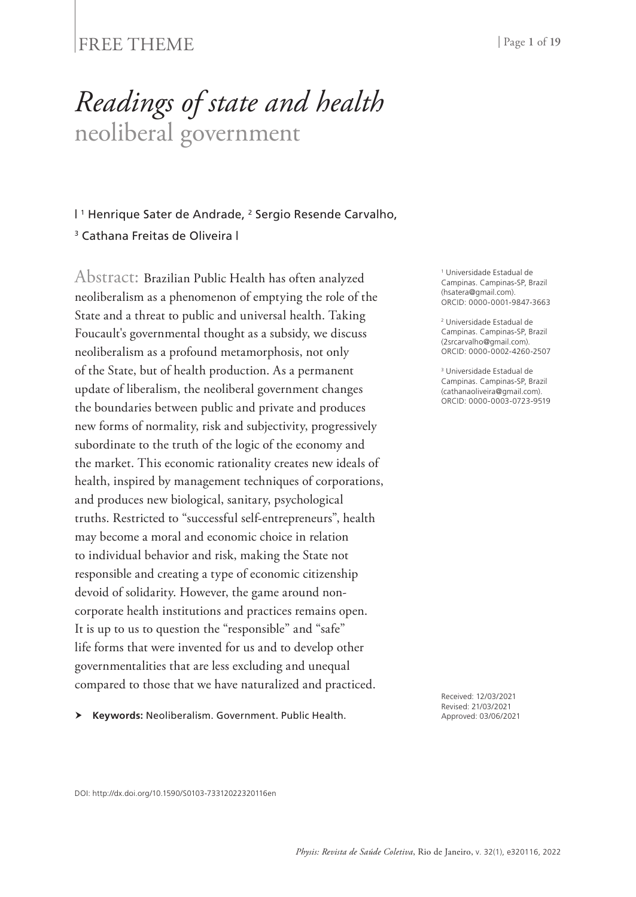### FREE THEME | Page 1 of 19

# *Readings of state and health* neoliberal government

I<sup>1</sup> Henrique Sater de Andrade, <sup>2</sup> Sergio Resende Carvalho, <sup>3</sup> Cathana Freitas de Oliveira |

Abstract: Brazilian Public Health has often analyzed neoliberalism as a phenomenon of emptying the role of the State and a threat to public and universal health. Taking Foucault's governmental thought as a subsidy, we discuss neoliberalism as a profound metamorphosis, not only of the State, but of health production. As a permanent update of liberalism, the neoliberal government changes the boundaries between public and private and produces new forms of normality, risk and subjectivity, progressively subordinate to the truth of the logic of the economy and the market. This economic rationality creates new ideals of health, inspired by management techniques of corporations, and produces new biological, sanitary, psychological truths. Restricted to "successful self-entrepreneurs", health may become a moral and economic choice in relation to individual behavior and risk, making the State not responsible and creating a type of economic citizenship devoid of solidarity. However, the game around noncorporate health institutions and practices remains open. It is up to us to question the "responsible" and "safe" life forms that were invented for us and to develop other governmentalities that are less excluding and unequal compared to those that we have naturalized and practiced.

**Keywords:** Neoliberalism. Government. Public Health.

1 Universidade Estadual de Campinas. Campinas-SP, Brazil (hsatera@gmail.com). ORCID: 0000-0001-9847-3663

2 Universidade Estadual de Campinas. Campinas-SP, Brazil (2srcarvalho@gmail.com). ORCID: 0000-0002-4260-2507

3 Universidade Estadual de Campinas. Campinas-SP, Brazil (cathanaoliveira@gmail.com). ORCID: 0000-0003-0723-9519

Received: 12/03/2021 Revised: 21/03/2021 Approved: 03/06/2021

DOI: http://dx.doi.org/10.1590/S0103-73312022320116en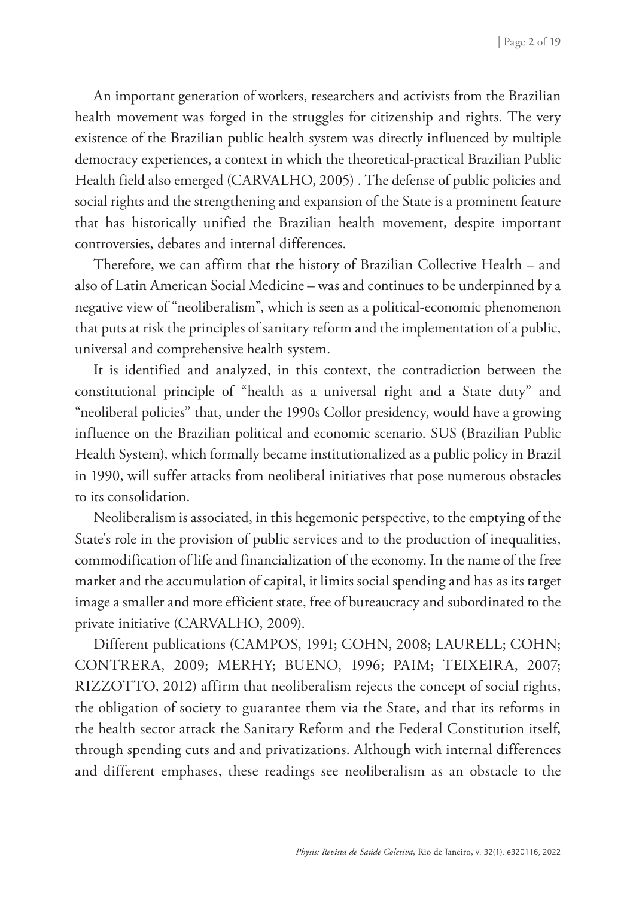An important generation of workers, researchers and activists from the Brazilian health movement was forged in the struggles for citizenship and rights. The very existence of the Brazilian public health system was directly influenced by multiple democracy experiences, a context in which the theoretical-practical Brazilian Public Health field also emerged (CARVALHO, 2005) . The defense of public policies and social rights and the strengthening and expansion of the State is a prominent feature that has historically unified the Brazilian health movement, despite important controversies, debates and internal differences.

Therefore, we can affirm that the history of Brazilian Collective Health – and also of Latin American Social Medicine – was and continues to be underpinned by a negative view of "neoliberalism", which is seen as a political-economic phenomenon that puts at risk the principles of sanitary reform and the implementation of a public, universal and comprehensive health system.

It is identified and analyzed, in this context, the contradiction between the constitutional principle of "health as a universal right and a State duty" and "neoliberal policies" that, under the 1990s Collor presidency, would have a growing influence on the Brazilian political and economic scenario. SUS (Brazilian Public Health System), which formally became institutionalized as a public policy in Brazil in 1990, will suffer attacks from neoliberal initiatives that pose numerous obstacles to its consolidation.

Neoliberalism is associated, in this hegemonic perspective, to the emptying of the State's role in the provision of public services and to the production of inequalities, commodification of life and financialization of the economy. In the name of the free market and the accumulation of capital, it limits social spending and has as its target image a smaller and more efficient state, free of bureaucracy and subordinated to the private initiative (CARVALHO, 2009).

Different publications (CAMPOS, 1991; COHN, 2008; LAURELL; COHN; CONTRERA, 2009; MERHY; BUENO, 1996; PAIM; TEIXEIRA, 2007; RIZZOTTO, 2012) affirm that neoliberalism rejects the concept of social rights, the obligation of society to guarantee them via the State, and that its reforms in the health sector attack the Sanitary Reform and the Federal Constitution itself, through spending cuts and and privatizations. Although with internal differences and different emphases, these readings see neoliberalism as an obstacle to the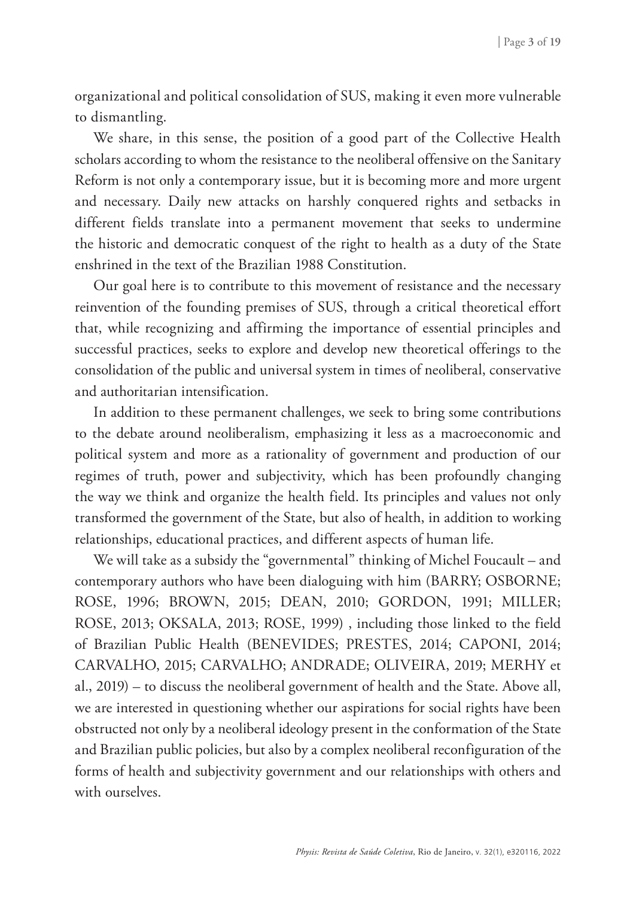organizational and political consolidation of SUS, making it even more vulnerable to dismantling.

We share, in this sense, the position of a good part of the Collective Health scholars according to whom the resistance to the neoliberal offensive on the Sanitary Reform is not only a contemporary issue, but it is becoming more and more urgent and necessary. Daily new attacks on harshly conquered rights and setbacks in different fields translate into a permanent movement that seeks to undermine the historic and democratic conquest of the right to health as a duty of the State enshrined in the text of the Brazilian 1988 Constitution.

Our goal here is to contribute to this movement of resistance and the necessary reinvention of the founding premises of SUS, through a critical theoretical effort that, while recognizing and affirming the importance of essential principles and successful practices, seeks to explore and develop new theoretical offerings to the consolidation of the public and universal system in times of neoliberal, conservative and authoritarian intensification.

In addition to these permanent challenges, we seek to bring some contributions to the debate around neoliberalism, emphasizing it less as a macroeconomic and political system and more as a rationality of government and production of our regimes of truth, power and subjectivity, which has been profoundly changing the way we think and organize the health field. Its principles and values not only transformed the government of the State, but also of health, in addition to working relationships, educational practices, and different aspects of human life.

We will take as a subsidy the "governmental" thinking of Michel Foucault – and contemporary authors who have been dialoguing with him (BARRY; OSBORNE; ROSE, 1996; BROWN, 2015; DEAN, 2010; GORDON, 1991; MILLER; ROSE, 2013; OKSALA, 2013; ROSE, 1999) , including those linked to the field of Brazilian Public Health (BENEVIDES; PRESTES, 2014; CAPONI, 2014; CARVALHO, 2015; CARVALHO; ANDRADE; OLIVEIRA, 2019; MERHY et al., 2019) – to discuss the neoliberal government of health and the State. Above all, we are interested in questioning whether our aspirations for social rights have been obstructed not only by a neoliberal ideology present in the conformation of the State and Brazilian public policies, but also by a complex neoliberal reconfiguration of the forms of health and subjectivity government and our relationships with others and with ourselves.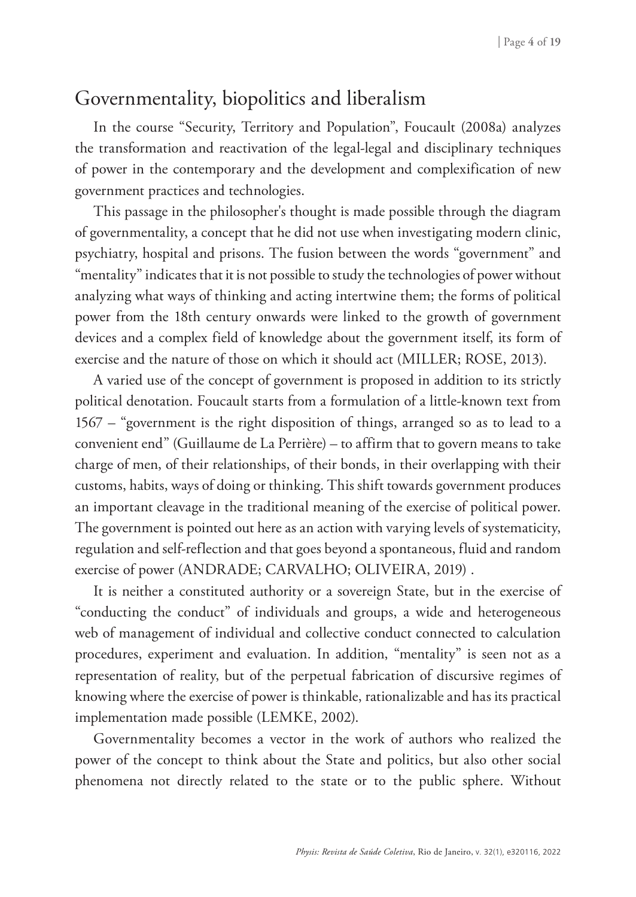## Governmentality, biopolitics and liberalism

In the course "Security, Territory and Population", Foucault (2008a) analyzes the transformation and reactivation of the legal-legal and disciplinary techniques of power in the contemporary and the development and complexification of new government practices and technologies.

This passage in the philosopher's thought is made possible through the diagram of governmentality, a concept that he did not use when investigating modern clinic, psychiatry, hospital and prisons. The fusion between the words "government" and "mentality" indicates that it is not possible to study the technologies of power without analyzing what ways of thinking and acting intertwine them; the forms of political power from the 18th century onwards were linked to the growth of government devices and a complex field of knowledge about the government itself, its form of exercise and the nature of those on which it should act (MILLER; ROSE, 2013).

A varied use of the concept of government is proposed in addition to its strictly political denotation. Foucault starts from a formulation of a little-known text from 1567 – "government is the right disposition of things, arranged so as to lead to a convenient end" (Guillaume de La Perrière) – to affirm that to govern means to take charge of men, of their relationships, of their bonds, in their overlapping with their customs, habits, ways of doing or thinking. This shift towards government produces an important cleavage in the traditional meaning of the exercise of political power. The government is pointed out here as an action with varying levels of systematicity, regulation and self-reflection and that goes beyond a spontaneous, fluid and random exercise of power (ANDRADE; CARVALHO; OLIVEIRA, 2019) .

It is neither a constituted authority or a sovereign State, but in the exercise of "conducting the conduct" of individuals and groups, a wide and heterogeneous web of management of individual and collective conduct connected to calculation procedures, experiment and evaluation. In addition, "mentality" is seen not as a representation of reality, but of the perpetual fabrication of discursive regimes of knowing where the exercise of power is thinkable, rationalizable and has its practical implementation made possible (LEMKE, 2002).

Governmentality becomes a vector in the work of authors who realized the power of the concept to think about the State and politics, but also other social phenomena not directly related to the state or to the public sphere. Without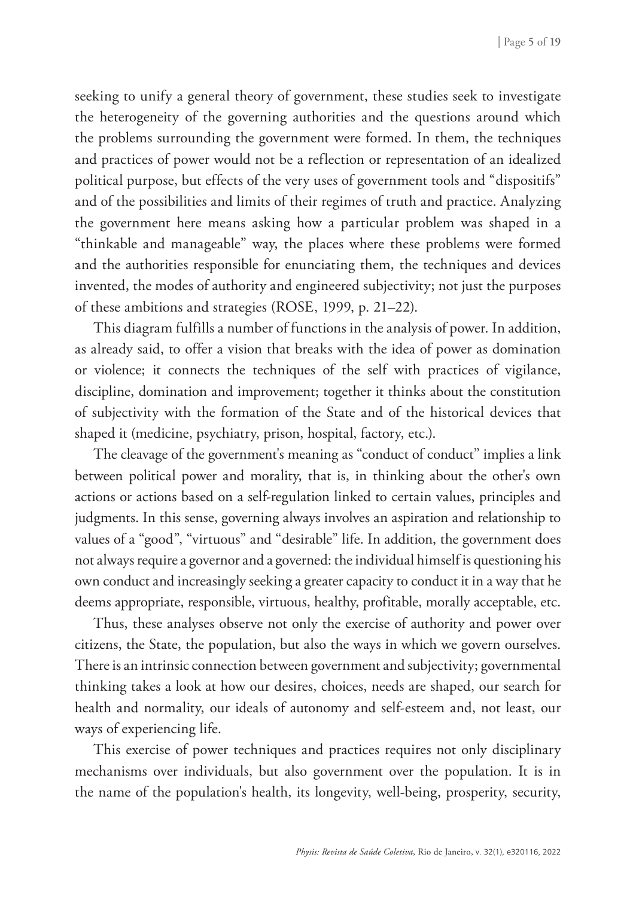seeking to unify a general theory of government, these studies seek to investigate the heterogeneity of the governing authorities and the questions around which the problems surrounding the government were formed. In them, the techniques and practices of power would not be a reflection or representation of an idealized political purpose, but effects of the very uses of government tools and "dispositifs" and of the possibilities and limits of their regimes of truth and practice. Analyzing the government here means asking how a particular problem was shaped in a "thinkable and manageable" way, the places where these problems were formed and the authorities responsible for enunciating them, the techniques and devices invented, the modes of authority and engineered subjectivity; not just the purposes of these ambitions and strategies (ROSE, 1999, p. 21–22).

This diagram fulfills a number of functions in the analysis of power. In addition, as already said, to offer a vision that breaks with the idea of power as domination or violence; it connects the techniques of the self with practices of vigilance, discipline, domination and improvement; together it thinks about the constitution of subjectivity with the formation of the State and of the historical devices that shaped it (medicine, psychiatry, prison, hospital, factory, etc.).

The cleavage of the government's meaning as "conduct of conduct" implies a link between political power and morality, that is, in thinking about the other's own actions or actions based on a self-regulation linked to certain values, principles and judgments. In this sense, governing always involves an aspiration and relationship to values of a "good", "virtuous" and "desirable" life. In addition, the government does not always require a governor and a governed: the individual himself is questioning his own conduct and increasingly seeking a greater capacity to conduct it in a way that he deems appropriate, responsible, virtuous, healthy, profitable, morally acceptable, etc.

Thus, these analyses observe not only the exercise of authority and power over citizens, the State, the population, but also the ways in which we govern ourselves. There is an intrinsic connection between government and subjectivity; governmental thinking takes a look at how our desires, choices, needs are shaped, our search for health and normality, our ideals of autonomy and self-esteem and, not least, our ways of experiencing life.

This exercise of power techniques and practices requires not only disciplinary mechanisms over individuals, but also government over the population. It is in the name of the population's health, its longevity, well-being, prosperity, security,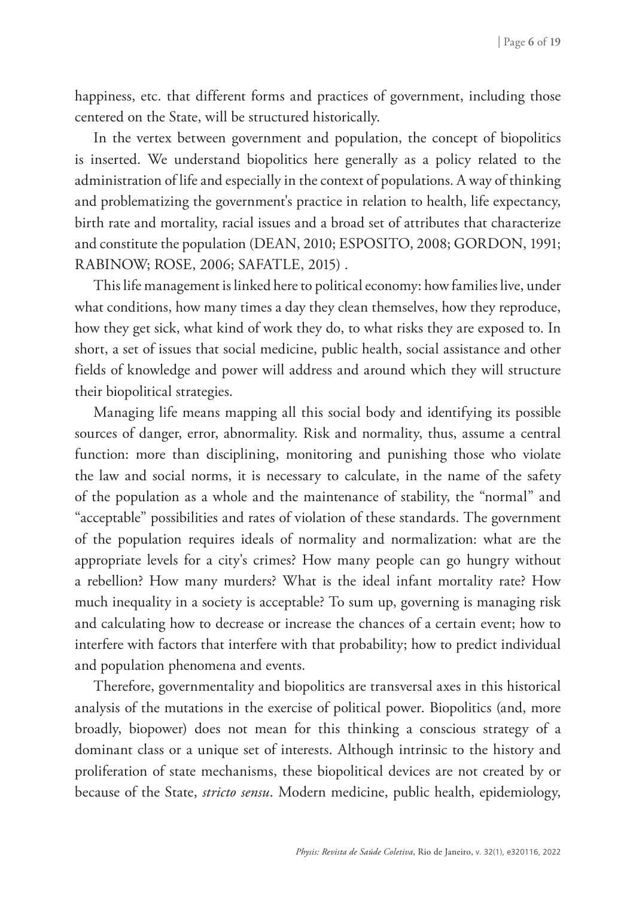happiness, etc. that different forms and practices of government, including those centered on the State, will be structured historically.

In the vertex between government and population, the concept of biopolitics is inserted. We understand biopolitics here generally as a policy related to the administration of life and especially in the context of populations. A way of thinking and problematizing the government's practice in relation to health, life expectancy, birth rate and mortality, racial issues and a broad set of attributes that characterize and constitute the population (DEAN, 2010; ESPOSITO, 2008; GORDON, 1991; RABINOW; ROSE, 2006; SAFATLE, 2015) .

This life management is linked here to political economy: how families live, under what conditions, how many times a day they clean themselves, how they reproduce, how they get sick, what kind of work they do, to what risks they are exposed to. In short, a set of issues that social medicine, public health, social assistance and other fields of knowledge and power will address and around which they will structure their biopolitical strategies.

Managing life means mapping all this social body and identifying its possible sources of danger, error, abnormality. Risk and normality, thus, assume a central function: more than disciplining, monitoring and punishing those who violate the law and social norms, it is necessary to calculate, in the name of the safety of the population as a whole and the maintenance of stability, the "normal" and "acceptable" possibilities and rates of violation of these standards. The government of the population requires ideals of normality and normalization: what are the appropriate levels for a city's crimes? How many people can go hungry without a rebellion? How many murders? What is the ideal infant mortality rate? How much inequality in a society is acceptable? To sum up, governing is managing risk and calculating how to decrease or increase the chances of a certain event; how to interfere with factors that interfere with that probability; how to predict individual and population phenomena and events.

Therefore, governmentality and biopolitics are transversal axes in this historical analysis of the mutations in the exercise of political power. Biopolitics (and, more broadly, biopower) does not mean for this thinking a conscious strategy of a dominant class or a unique set of interests. Although intrinsic to the history and proliferation of state mechanisms, these biopolitical devices are not created by or because of the State, *stricto sensu*. Modern medicine, public health, epidemiology,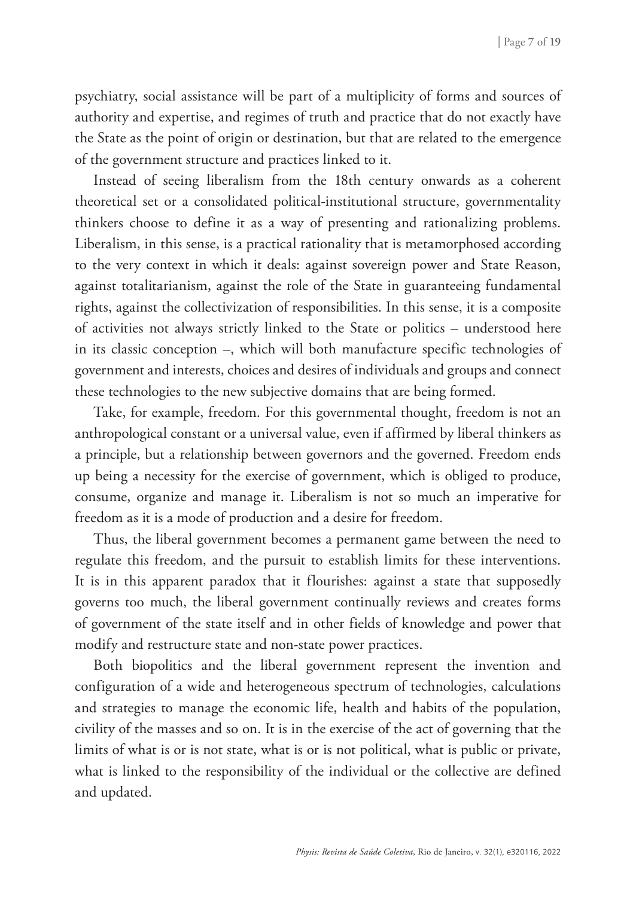psychiatry, social assistance will be part of a multiplicity of forms and sources of authority and expertise, and regimes of truth and practice that do not exactly have the State as the point of origin or destination, but that are related to the emergence of the government structure and practices linked to it.

Instead of seeing liberalism from the 18th century onwards as a coherent theoretical set or a consolidated political-institutional structure, governmentality thinkers choose to define it as a way of presenting and rationalizing problems. Liberalism, in this sense, is a practical rationality that is metamorphosed according to the very context in which it deals: against sovereign power and State Reason, against totalitarianism, against the role of the State in guaranteeing fundamental rights, against the collectivization of responsibilities. In this sense, it is a composite of activities not always strictly linked to the State or politics – understood here in its classic conception –, which will both manufacture specific technologies of government and interests, choices and desires of individuals and groups and connect these technologies to the new subjective domains that are being formed.

Take, for example, freedom. For this governmental thought, freedom is not an anthropological constant or a universal value, even if affirmed by liberal thinkers as a principle, but a relationship between governors and the governed. Freedom ends up being a necessity for the exercise of government, which is obliged to produce, consume, organize and manage it. Liberalism is not so much an imperative for freedom as it is a mode of production and a desire for freedom.

Thus, the liberal government becomes a permanent game between the need to regulate this freedom, and the pursuit to establish limits for these interventions. It is in this apparent paradox that it flourishes: against a state that supposedly governs too much, the liberal government continually reviews and creates forms of government of the state itself and in other fields of knowledge and power that modify and restructure state and non-state power practices.

Both biopolitics and the liberal government represent the invention and configuration of a wide and heterogeneous spectrum of technologies, calculations and strategies to manage the economic life, health and habits of the population, civility of the masses and so on. It is in the exercise of the act of governing that the limits of what is or is not state, what is or is not political, what is public or private, what is linked to the responsibility of the individual or the collective are defined and updated.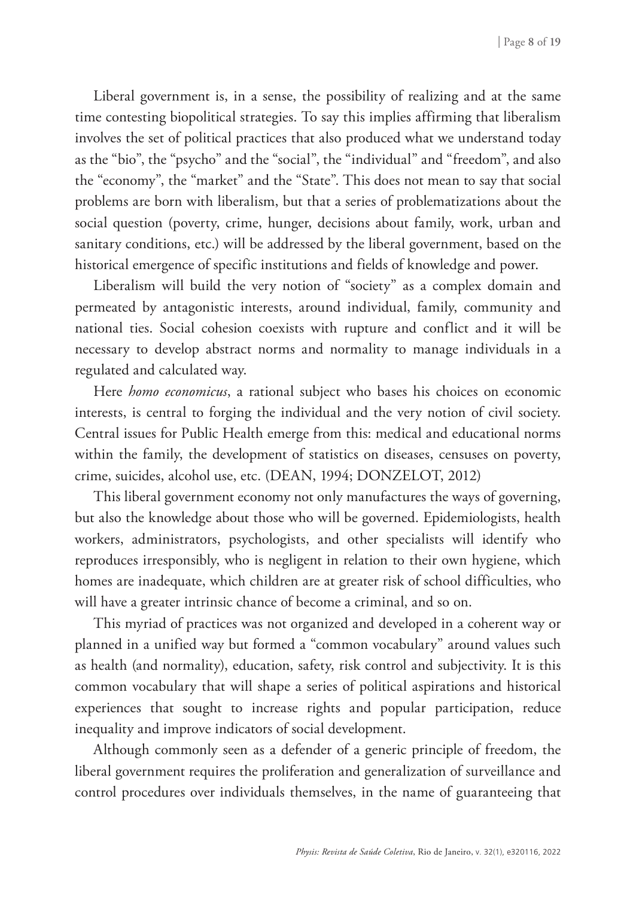Liberal government is, in a sense, the possibility of realizing and at the same time contesting biopolitical strategies. To say this implies affirming that liberalism involves the set of political practices that also produced what we understand today as the "bio", the "psycho" and the "social", the "individual" and "freedom", and also the "economy", the "market" and the "State". This does not mean to say that social problems are born with liberalism, but that a series of problematizations about the social question (poverty, crime, hunger, decisions about family, work, urban and sanitary conditions, etc.) will be addressed by the liberal government, based on the historical emergence of specific institutions and fields of knowledge and power.

Liberalism will build the very notion of "society" as a complex domain and permeated by antagonistic interests, around individual, family, community and national ties. Social cohesion coexists with rupture and conflict and it will be necessary to develop abstract norms and normality to manage individuals in a regulated and calculated way.

Here *homo economicus*, a rational subject who bases his choices on economic interests, is central to forging the individual and the very notion of civil society. Central issues for Public Health emerge from this: medical and educational norms within the family, the development of statistics on diseases, censuses on poverty, crime, suicides, alcohol use, etc. (DEAN, 1994; DONZELOT, 2012)

This liberal government economy not only manufactures the ways of governing, but also the knowledge about those who will be governed. Epidemiologists, health workers, administrators, psychologists, and other specialists will identify who reproduces irresponsibly, who is negligent in relation to their own hygiene, which homes are inadequate, which children are at greater risk of school difficulties, who will have a greater intrinsic chance of become a criminal, and so on.

This myriad of practices was not organized and developed in a coherent way or planned in a unified way but formed a "common vocabulary" around values such as health (and normality), education, safety, risk control and subjectivity. It is this common vocabulary that will shape a series of political aspirations and historical experiences that sought to increase rights and popular participation, reduce inequality and improve indicators of social development.

Although commonly seen as a defender of a generic principle of freedom, the liberal government requires the proliferation and generalization of surveillance and control procedures over individuals themselves, in the name of guaranteeing that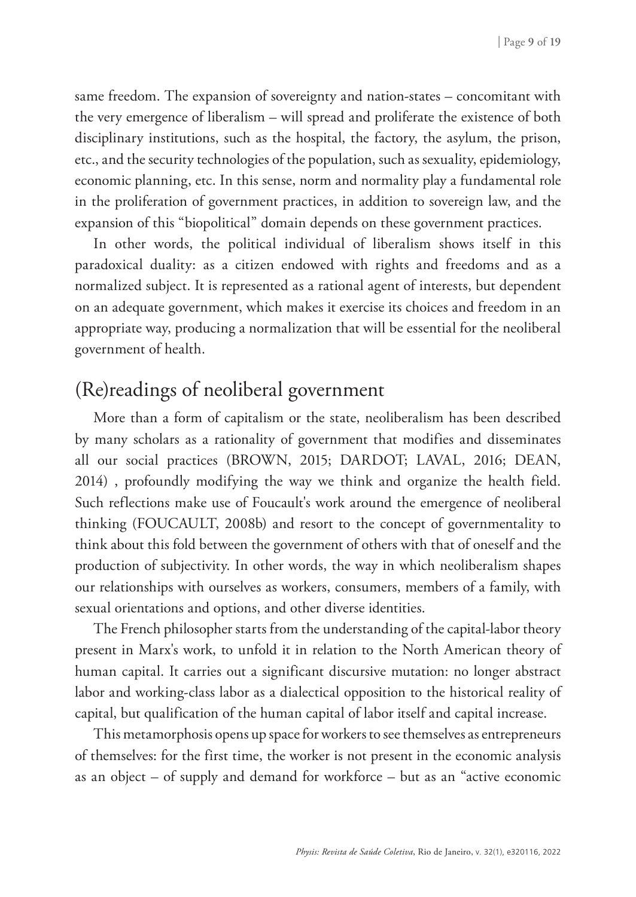same freedom. The expansion of sovereignty and nation-states – concomitant with the very emergence of liberalism – will spread and proliferate the existence of both disciplinary institutions, such as the hospital, the factory, the asylum, the prison, etc., and the security technologies of the population, such as sexuality, epidemiology, economic planning, etc. In this sense, norm and normality play a fundamental role in the proliferation of government practices, in addition to sovereign law, and the expansion of this "biopolitical" domain depends on these government practices.

In other words, the political individual of liberalism shows itself in this paradoxical duality: as a citizen endowed with rights and freedoms and as a normalized subject. It is represented as a rational agent of interests, but dependent on an adequate government, which makes it exercise its choices and freedom in an appropriate way, producing a normalization that will be essential for the neoliberal government of health.

## (Re)readings of neoliberal government

More than a form of capitalism or the state, neoliberalism has been described by many scholars as a rationality of government that modifies and disseminates all our social practices (BROWN, 2015; DARDOT; LAVAL, 2016; DEAN, 2014) , profoundly modifying the way we think and organize the health field. Such reflections make use of Foucault's work around the emergence of neoliberal thinking (FOUCAULT, 2008b) and resort to the concept of governmentality to think about this fold between the government of others with that of oneself and the production of subjectivity. In other words, the way in which neoliberalism shapes our relationships with ourselves as workers, consumers, members of a family, with sexual orientations and options, and other diverse identities.

The French philosopher starts from the understanding of the capital-labor theory present in Marx's work, to unfold it in relation to the North American theory of human capital. It carries out a significant discursive mutation: no longer abstract labor and working-class labor as a dialectical opposition to the historical reality of capital, but qualification of the human capital of labor itself and capital increase.

This metamorphosis opens up space for workers to see themselves as entrepreneurs of themselves: for the first time, the worker is not present in the economic analysis as an object – of supply and demand for workforce – but as an "active economic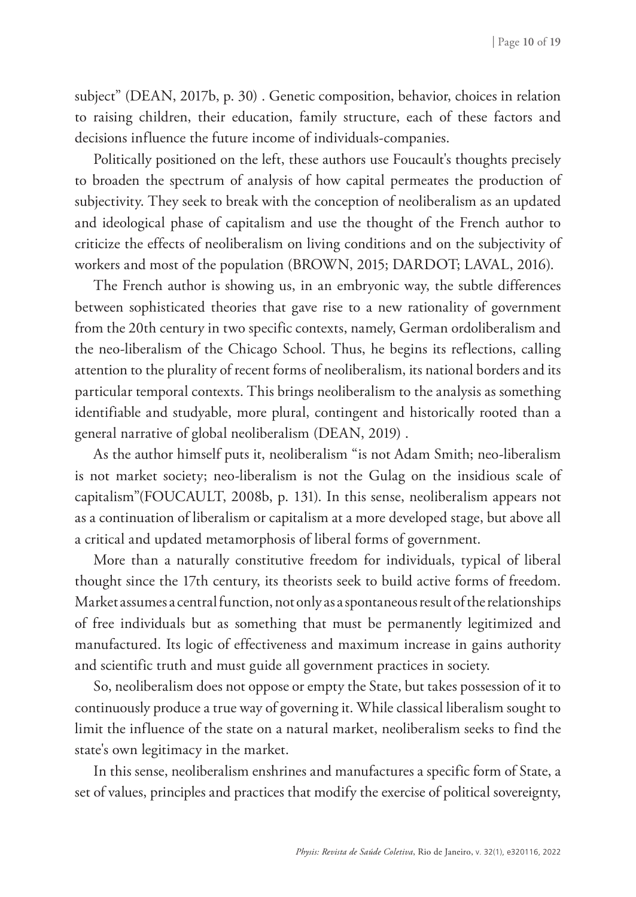subject" (DEAN, 2017b, p. 30) . Genetic composition, behavior, choices in relation to raising children, their education, family structure, each of these factors and decisions influence the future income of individuals-companies.

Politically positioned on the left, these authors use Foucault's thoughts precisely to broaden the spectrum of analysis of how capital permeates the production of subjectivity. They seek to break with the conception of neoliberalism as an updated and ideological phase of capitalism and use the thought of the French author to criticize the effects of neoliberalism on living conditions and on the subjectivity of workers and most of the population (BROWN, 2015; DARDOT; LAVAL, 2016).

The French author is showing us, in an embryonic way, the subtle differences between sophisticated theories that gave rise to a new rationality of government from the 20th century in two specific contexts, namely, German ordoliberalism and the neo-liberalism of the Chicago School. Thus, he begins its reflections, calling attention to the plurality of recent forms of neoliberalism, its national borders and its particular temporal contexts. This brings neoliberalism to the analysis as something identifiable and studyable, more plural, contingent and historically rooted than a general narrative of global neoliberalism (DEAN, 2019) .

As the author himself puts it, neoliberalism "is not Adam Smith; neo-liberalism is not market society; neo-liberalism is not the Gulag on the insidious scale of capitalism"(FOUCAULT, 2008b, p. 131). In this sense, neoliberalism appears not as a continuation of liberalism or capitalism at a more developed stage, but above all a critical and updated metamorphosis of liberal forms of government.

More than a naturally constitutive freedom for individuals, typical of liberal thought since the 17th century, its theorists seek to build active forms of freedom. Market assumes a central function, not only as a spontaneous result of the relationships of free individuals but as something that must be permanently legitimized and manufactured. Its logic of effectiveness and maximum increase in gains authority and scientific truth and must guide all government practices in society.

So, neoliberalism does not oppose or empty the State, but takes possession of it to continuously produce a true way of governing it. While classical liberalism sought to limit the influence of the state on a natural market, neoliberalism seeks to find the state's own legitimacy in the market.

In this sense, neoliberalism enshrines and manufactures a specific form of State, a set of values, principles and practices that modify the exercise of political sovereignty,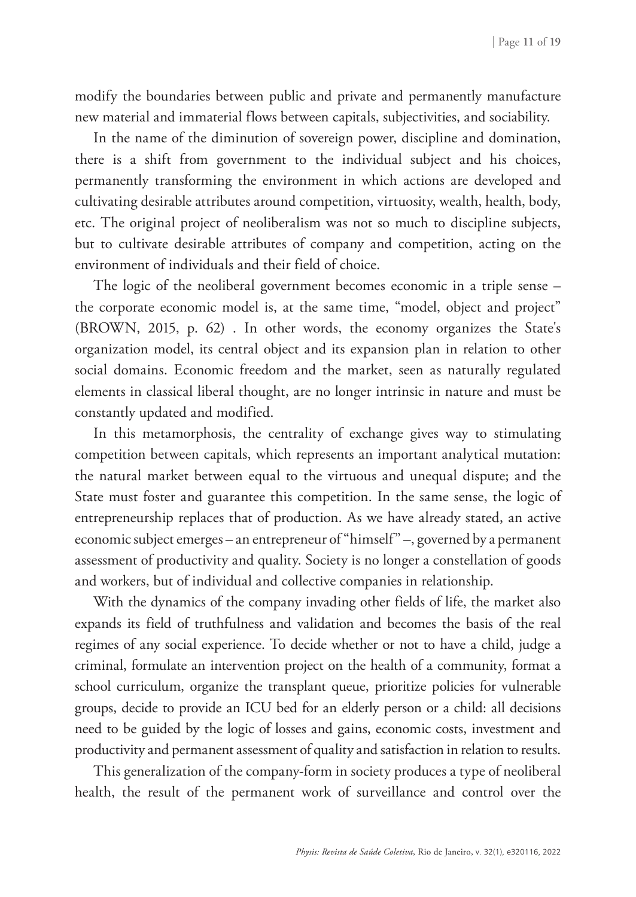modify the boundaries between public and private and permanently manufacture new material and immaterial flows between capitals, subjectivities, and sociability.

In the name of the diminution of sovereign power, discipline and domination, there is a shift from government to the individual subject and his choices, permanently transforming the environment in which actions are developed and cultivating desirable attributes around competition, virtuosity, wealth, health, body, etc. The original project of neoliberalism was not so much to discipline subjects, but to cultivate desirable attributes of company and competition, acting on the environment of individuals and their field of choice.

The logic of the neoliberal government becomes economic in a triple sense – the corporate economic model is, at the same time, "model, object and project" (BROWN, 2015, p. 62) . In other words, the economy organizes the State's organization model, its central object and its expansion plan in relation to other social domains. Economic freedom and the market, seen as naturally regulated elements in classical liberal thought, are no longer intrinsic in nature and must be constantly updated and modified.

In this metamorphosis, the centrality of exchange gives way to stimulating competition between capitals, which represents an important analytical mutation: the natural market between equal to the virtuous and unequal dispute; and the State must foster and guarantee this competition. In the same sense, the logic of entrepreneurship replaces that of production. As we have already stated, an active economic subject emerges – an entrepreneur of "himself" –, governed by a permanent assessment of productivity and quality. Society is no longer a constellation of goods and workers, but of individual and collective companies in relationship.

With the dynamics of the company invading other fields of life, the market also expands its field of truthfulness and validation and becomes the basis of the real regimes of any social experience. To decide whether or not to have a child, judge a criminal, formulate an intervention project on the health of a community, format a school curriculum, organize the transplant queue, prioritize policies for vulnerable groups, decide to provide an ICU bed for an elderly person or a child: all decisions need to be guided by the logic of losses and gains, economic costs, investment and productivity and permanent assessment of quality and satisfaction in relation to results.

This generalization of the company-form in society produces a type of neoliberal health, the result of the permanent work of surveillance and control over the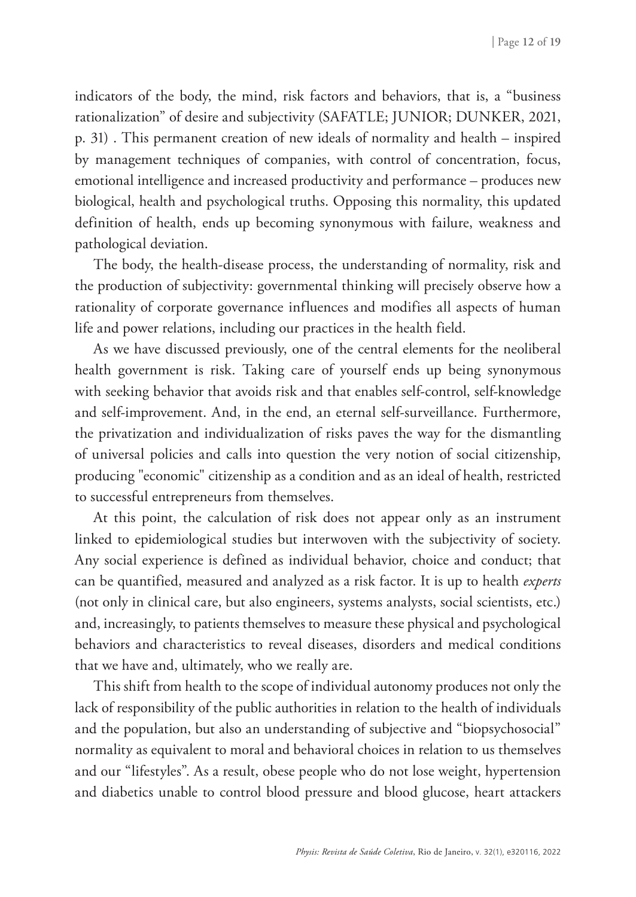indicators of the body, the mind, risk factors and behaviors, that is, a "business rationalization" of desire and subjectivity (SAFATLE; JUNIOR; DUNKER, 2021, p. 31) . This permanent creation of new ideals of normality and health – inspired by management techniques of companies, with control of concentration, focus, emotional intelligence and increased productivity and performance – produces new biological, health and psychological truths. Opposing this normality, this updated definition of health, ends up becoming synonymous with failure, weakness and pathological deviation.

The body, the health-disease process, the understanding of normality, risk and the production of subjectivity: governmental thinking will precisely observe how a rationality of corporate governance influences and modifies all aspects of human life and power relations, including our practices in the health field.

As we have discussed previously, one of the central elements for the neoliberal health government is risk. Taking care of yourself ends up being synonymous with seeking behavior that avoids risk and that enables self-control, self-knowledge and self-improvement. And, in the end, an eternal self-surveillance. Furthermore, the privatization and individualization of risks paves the way for the dismantling of universal policies and calls into question the very notion of social citizenship, producing "economic" citizenship as a condition and as an ideal of health, restricted to successful entrepreneurs from themselves.

At this point, the calculation of risk does not appear only as an instrument linked to epidemiological studies but interwoven with the subjectivity of society. Any social experience is defined as individual behavior, choice and conduct; that can be quantified, measured and analyzed as a risk factor. It is up to health *experts*  (not only in clinical care, but also engineers, systems analysts, social scientists, etc.) and, increasingly, to patients themselves to measure these physical and psychological behaviors and characteristics to reveal diseases, disorders and medical conditions that we have and, ultimately, who we really are.

This shift from health to the scope of individual autonomy produces not only the lack of responsibility of the public authorities in relation to the health of individuals and the population, but also an understanding of subjective and "biopsychosocial" normality as equivalent to moral and behavioral choices in relation to us themselves and our "lifestyles". As a result, obese people who do not lose weight, hypertension and diabetics unable to control blood pressure and blood glucose, heart attackers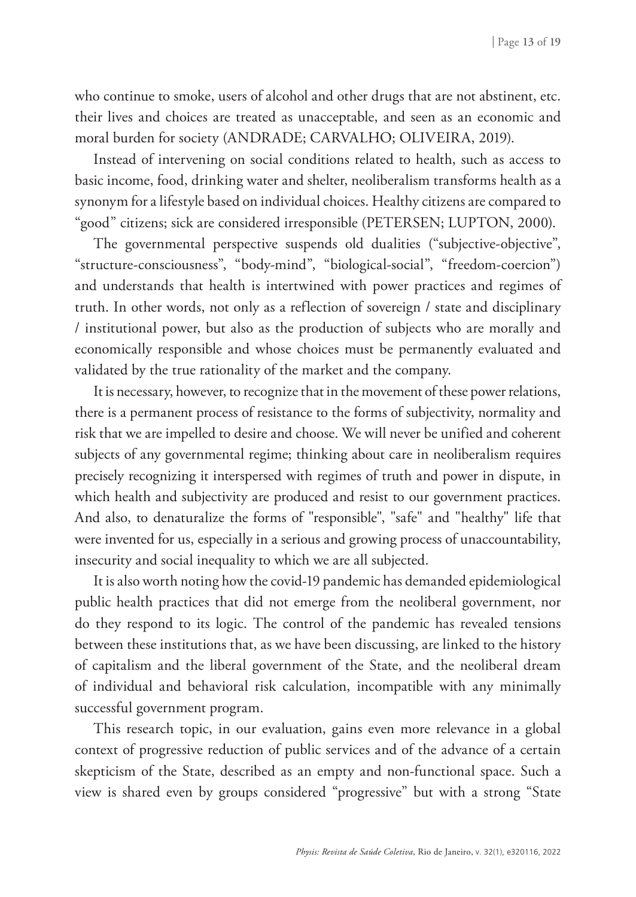who continue to smoke, users of alcohol and other drugs that are not abstinent, etc. their lives and choices are treated as unacceptable, and seen as an economic and moral burden for society (ANDRADE; CARVALHO; OLIVEIRA, 2019).

Instead of intervening on social conditions related to health, such as access to basic income, food, drinking water and shelter, neoliberalism transforms health as a synonym for a lifestyle based on individual choices. Healthy citizens are compared to "good" citizens; sick are considered irresponsible (PETERSEN; LUPTON, 2000).

The governmental perspective suspends old dualities ("subjective-objective", "structure-consciousness", "body-mind", "biological-social", "freedom-coercion") and understands that health is intertwined with power practices and regimes of truth. In other words, not only as a reflection of sovereign / state and disciplinary / institutional power, but also as the production of subjects who are morally and economically responsible and whose choices must be permanently evaluated and validated by the true rationality of the market and the company.

It is necessary, however, to recognize that in the movement of these power relations, there is a permanent process of resistance to the forms of subjectivity, normality and risk that we are impelled to desire and choose. We will never be unified and coherent subjects of any governmental regime; thinking about care in neoliberalism requires precisely recognizing it interspersed with regimes of truth and power in dispute, in which health and subjectivity are produced and resist to our government practices. And also, to denaturalize the forms of "responsible", "safe" and "healthy" life that were invented for us, especially in a serious and growing process of unaccountability, insecurity and social inequality to which we are all subjected.

It is also worth noting how the covid-19 pandemic has demanded epidemiological public health practices that did not emerge from the neoliberal government, nor do they respond to its logic. The control of the pandemic has revealed tensions between these institutions that, as we have been discussing, are linked to the history of capitalism and the liberal government of the State, and the neoliberal dream of individual and behavioral risk calculation, incompatible with any minimally successful government program.

This research topic, in our evaluation, gains even more relevance in a global context of progressive reduction of public services and of the advance of a certain skepticism of the State, described as an empty and non-functional space. Such a view is shared even by groups considered "progressive" but with a strong "State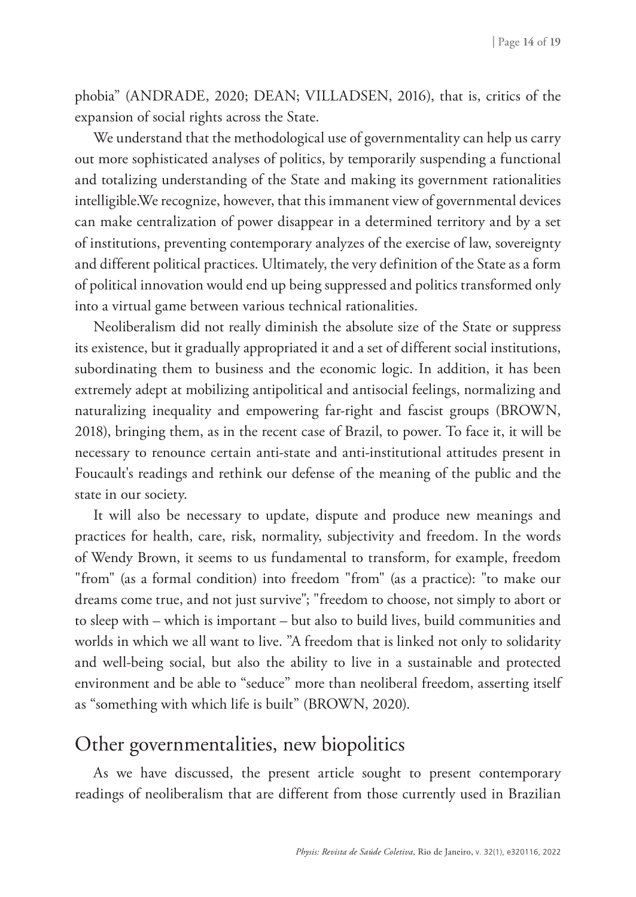phobia" (ANDRADE, 2020; DEAN; VILLADSEN, 2016), that is, critics of the expansion of social rights across the State.

We understand that the methodological use of governmentality can help us carry out more sophisticated analyses of politics, by temporarily suspending a functional and totalizing understanding of the State and making its government rationalities intelligible.We recognize, however, that this immanent view of governmental devices can make centralization of power disappear in a determined territory and by a set of institutions, preventing contemporary analyzes of the exercise of law, sovereignty and different political practices. Ultimately, the very definition of the State as a form of political innovation would end up being suppressed and politics transformed only into a virtual game between various technical rationalities.

Neoliberalism did not really diminish the absolute size of the State or suppress its existence, but it gradually appropriated it and a set of different social institutions, subordinating them to business and the economic logic. In addition, it has been extremely adept at mobilizing antipolitical and antisocial feelings, normalizing and naturalizing inequality and empowering far-right and fascist groups (BROWN, 2018), bringing them, as in the recent case of Brazil, to power. To face it, it will be necessary to renounce certain anti-state and anti-institutional attitudes present in Foucault's readings and rethink our defense of the meaning of the public and the state in our society.

It will also be necessary to update, dispute and produce new meanings and practices for health, care, risk, normality, subjectivity and freedom. In the words of Wendy Brown, it seems to us fundamental to transform, for example, freedom "from" (as a formal condition) into freedom "from" (as a practice): "to make our dreams come true, and not just survive"; "freedom to choose, not simply to abort or to sleep with – which is important – but also to build lives, build communities and worlds in which we all want to live. "A freedom that is linked not only to solidarity and well-being social, but also the ability to live in a sustainable and protected environment and be able to "seduce" more than neoliberal freedom, asserting itself as "something with which life is built" (BROWN, 2020).

### Other governmentalities, new biopolitics

As we have discussed, the present article sought to present contemporary readings of neoliberalism that are different from those currently used in Brazilian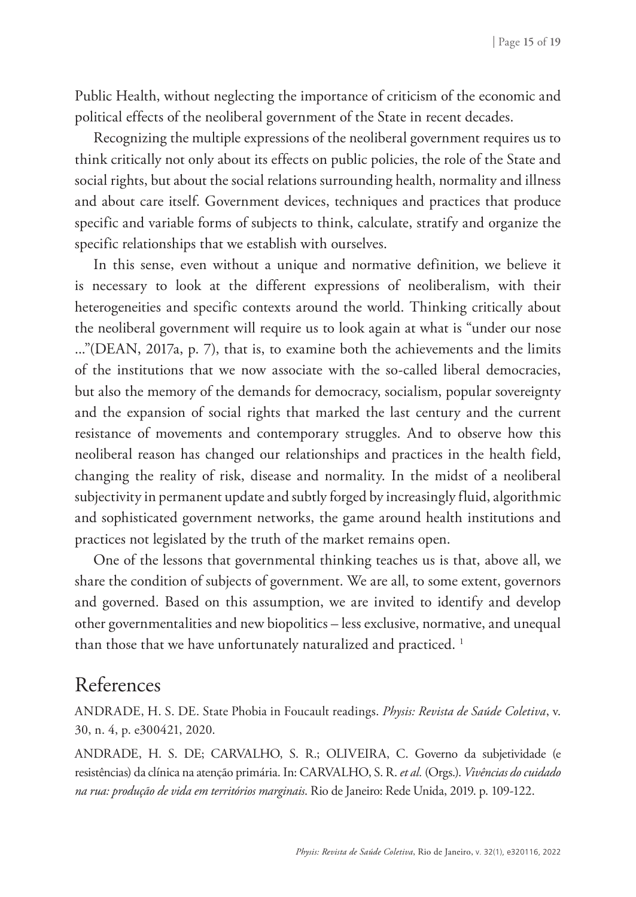Public Health, without neglecting the importance of criticism of the economic and political effects of the neoliberal government of the State in recent decades.

Recognizing the multiple expressions of the neoliberal government requires us to think critically not only about its effects on public policies, the role of the State and social rights, but about the social relations surrounding health, normality and illness and about care itself. Government devices, techniques and practices that produce specific and variable forms of subjects to think, calculate, stratify and organize the specific relationships that we establish with ourselves.

In this sense, even without a unique and normative definition, we believe it is necessary to look at the different expressions of neoliberalism, with their heterogeneities and specific contexts around the world. Thinking critically about the neoliberal government will require us to look again at what is "under our nose ..."(DEAN, 2017a, p. 7), that is, to examine both the achievements and the limits of the institutions that we now associate with the so-called liberal democracies, but also the memory of the demands for democracy, socialism, popular sovereignty and the expansion of social rights that marked the last century and the current resistance of movements and contemporary struggles. And to observe how this neoliberal reason has changed our relationships and practices in the health field, changing the reality of risk, disease and normality. In the midst of a neoliberal subjectivity in permanent update and subtly forged by increasingly fluid, algorithmic and sophisticated government networks, the game around health institutions and practices not legislated by the truth of the market remains open.

One of the lessons that governmental thinking teaches us is that, above all, we share the condition of subjects of government. We are all, to some extent, governors and governed. Based on this assumption, we are invited to identify and develop other governmentalities and new biopolitics – less exclusive, normative, and unequal than those that we have unfortunately naturalized and practiced.<sup>1</sup>

#### References

ANDRADE, H. S. DE. State Phobia in Foucault readings. *Physis: Revista de Saúde Coletiva*, v. 30, n. 4, p. e300421, 2020.

ANDRADE, H. S. DE; CARVALHO, S. R.; OLIVEIRA, C. Governo da subjetividade (e resistências) da clínica na atenção primária. In: CARVALHO, S. R. *et al.* (Orgs.). *Vivências do cuidado na rua: produção de vida em territórios marginais*. Rio de Janeiro: Rede Unida, 2019. p. 109-122.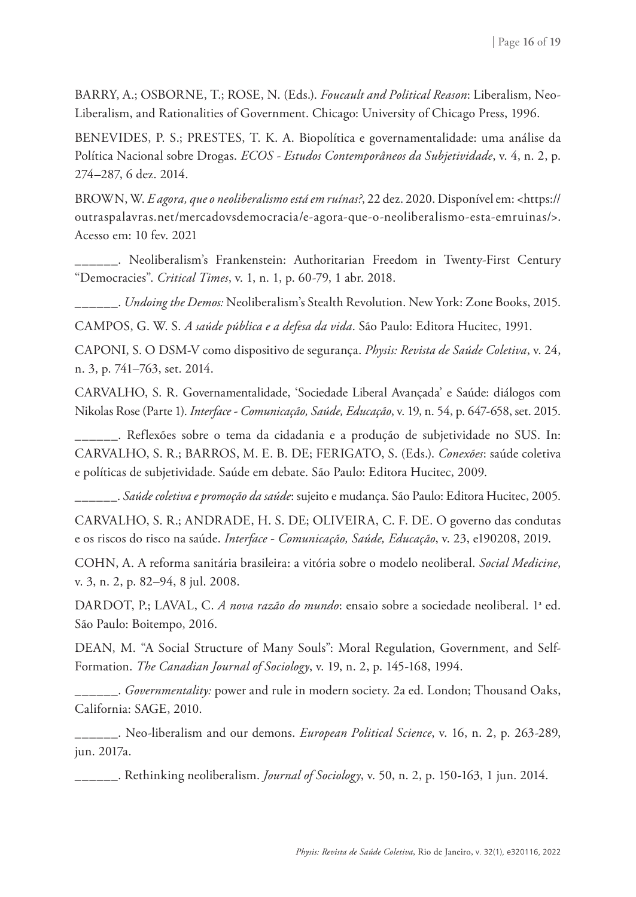BARRY, A.; OSBORNE, T.; ROSE, N. (Eds.). *Foucault and Political Reason*: Liberalism, Neo-Liberalism, and Rationalities of Government. Chicago: University of Chicago Press, 1996.

BENEVIDES, P. S.; PRESTES, T. K. A. Biopolítica e governamentalidade: uma análise da Política Nacional sobre Drogas. *ECOS - Estudos Contemporâneos da Subjetividade*, v. 4, n. 2, p. 274–287, 6 dez. 2014.

BROWN, W. *E agora, que o neoliberalismo está em ruínas?*, 22 dez. 2020. Disponível em: <https:// outraspalavras.net/mercadovsdemocracia/e-agora-que-o-neoliberalismo-esta-emruinas/>. Acesso em: 10 fev. 2021

\_\_\_\_\_\_. Neoliberalism's Frankenstein: Authoritarian Freedom in Twenty-First Century "Democracies". *Critical Times*, v. 1, n. 1, p. 60-79, 1 abr. 2018.

\_\_\_\_\_\_. *Undoing the Demos:* Neoliberalism's Stealth Revolution. New York: Zone Books, 2015.

CAMPOS, G. W. S. *A saúde pública e a defesa da vida*. São Paulo: Editora Hucitec, 1991.

CAPONI, S. O DSM-V como dispositivo de segurança. *Physis: Revista de Saúde Coletiva*, v. 24, n. 3, p. 741–763, set. 2014.

CARVALHO, S. R. Governamentalidade, 'Sociedade Liberal Avançada' e Saúde: diálogos com Nikolas Rose (Parte 1). *Interface - Comunicação, Saúde, Educação*, v. 19, n. 54, p. 647-658, set. 2015.

\_\_\_\_\_\_. Reflexões sobre o tema da cidadania e a produção de subjetividade no SUS. In: CARVALHO, S. R.; BARROS, M. E. B. DE; FERIGATO, S. (Eds.). *Conexões*: saúde coletiva e políticas de subjetividade. Saúde em debate. São Paulo: Editora Hucitec, 2009.

\_\_\_\_\_\_. *Saúde coletiva e promoção da saúde*: sujeito e mudança. São Paulo: Editora Hucitec, 2005.

CARVALHO, S. R.; ANDRADE, H. S. DE; OLIVEIRA, C. F. DE. O governo das condutas e os riscos do risco na saúde. *Interface - Comunicação, Saúde, Educação*, v. 23, e190208, 2019.

COHN, A. A reforma sanitária brasileira: a vitória sobre o modelo neoliberal. *Social Medicine*, v. 3, n. 2, p. 82–94, 8 jul. 2008.

DARDOT, P.; LAVAL, C. *A nova razão do mundo*: ensaio sobre a sociedade neoliberal. 1ª ed. São Paulo: Boitempo, 2016.

DEAN, M. "A Social Structure of Many Souls": Moral Regulation, Government, and Self-Formation. *The Canadian Journal of Sociology*, v. 19, n. 2, p. 145-168, 1994.

\_\_\_\_\_\_. *Governmentality:* power and rule in modern society. 2a ed. London; Thousand Oaks, California: SAGE, 2010.

\_\_\_\_\_\_. Neo-liberalism and our demons. *European Political Science*, v. 16, n. 2, p. 263-289, jun. 2017a.

\_\_\_\_\_\_. Rethinking neoliberalism. *Journal of Sociology*, v. 50, n. 2, p. 150-163, 1 jun. 2014.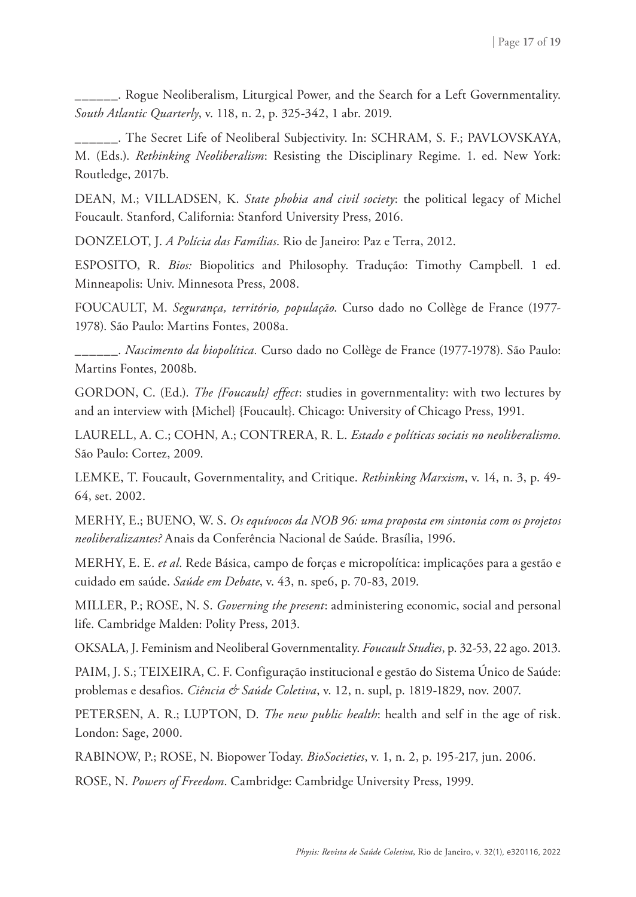\_\_\_\_\_\_. Rogue Neoliberalism, Liturgical Power, and the Search for a Left Governmentality. *South Atlantic Quarterly*, v. 118, n. 2, p. 325-342, 1 abr. 2019.

\_\_\_\_\_\_. The Secret Life of Neoliberal Subjectivity. In: SCHRAM, S. F.; PAVLOVSKAYA, M. (Eds.). *Rethinking Neoliberalism*: Resisting the Disciplinary Regime. 1. ed. New York: Routledge, 2017b.

DEAN, M.; VILLADSEN, K. *State phobia and civil society*: the political legacy of Michel Foucault. Stanford, California: Stanford University Press, 2016.

DONZELOT, J. *A Polícia das Famílias*. Rio de Janeiro: Paz e Terra, 2012.

ESPOSITO, R. *Bios:* Biopolitics and Philosophy. Tradução: Timothy Campbell. 1 ed. Minneapolis: Univ. Minnesota Press, 2008.

FOUCAULT, M. *Segurança, território, população*. Curso dado no Collège de France (1977- 1978). São Paulo: Martins Fontes, 2008a.

\_\_\_\_\_\_. *Nascimento da biopolítica.* Curso dado no Collège de France (1977-1978). São Paulo: Martins Fontes, 2008b.

GORDON, C. (Ed.). *The {Foucault} effect*: studies in governmentality: with two lectures by and an interview with {Michel} {Foucault}. Chicago: University of Chicago Press, 1991.

LAURELL, A. C.; COHN, A.; CONTRERA, R. L. *Estado e políticas sociais no neoliberalismo*. São Paulo: Cortez, 2009.

LEMKE, T. Foucault, Governmentality, and Critique. *Rethinking Marxism*, v. 14, n. 3, p. 49- 64, set. 2002.

MERHY, E.; BUENO, W. S. *Os equívocos da NOB 96: uma proposta em sintonia com os projetos neoliberalizantes?* Anais da Conferência Nacional de Saúde. Brasília, 1996.

MERHY, E. E. *et al*. Rede Básica, campo de forças e micropolítica: implicações para a gestão e cuidado em saúde. *Saúde em Debate*, v. 43, n. spe6, p. 70-83, 2019.

MILLER, P.; ROSE, N. S. *Governing the present*: administering economic, social and personal life. Cambridge Malden: Polity Press, 2013.

OKSALA, J. Feminism and Neoliberal Governmentality. *Foucault Studies*, p. 32-53, 22 ago. 2013.

PAIM, J. S.; TEIXEIRA, C. F. Configuração institucional e gestão do Sistema Único de Saúde: problemas e desafios. *Ciência & Saúde Coletiva*, v. 12, n. supl, p. 1819-1829, nov. 2007.

PETERSEN, A. R.; LUPTON, D. *The new public health*: health and self in the age of risk. London: Sage, 2000.

RABINOW, P.; ROSE, N. Biopower Today. *BioSocieties*, v. 1, n. 2, p. 195-217, jun. 2006.

ROSE, N. *Powers of Freedom*. Cambridge: Cambridge University Press, 1999.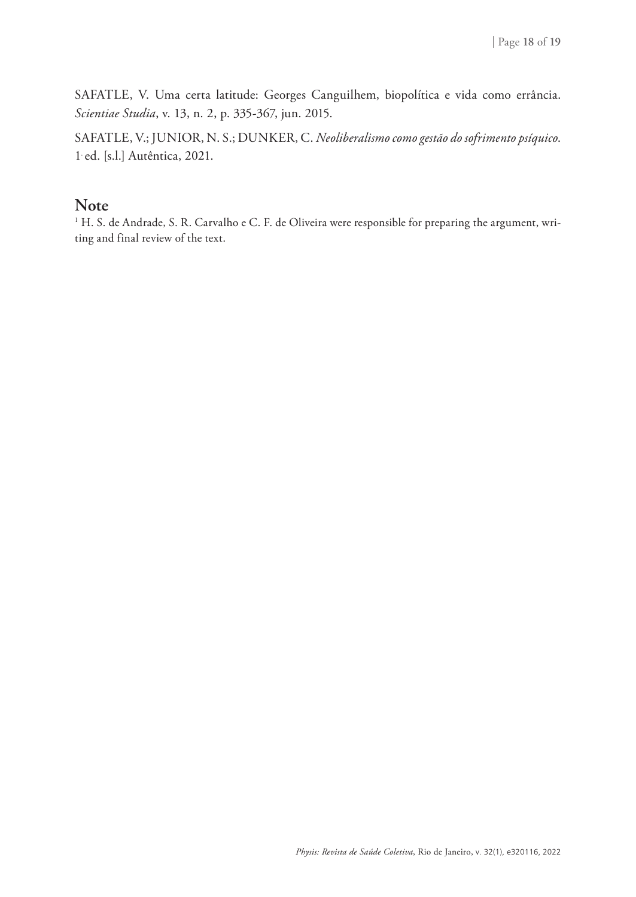SAFATLE, V. Uma certa latitude: Georges Canguilhem, biopolítica e vida como errância. *Scientiae Studia*, v. 13, n. 2, p. 335-367, jun. 2015.

SAFATLE, V.; JUNIOR, N. S.; DUNKER, C. *Neoliberalismo como gestão do sofrimento psíquico*. 1. ed. [s.l.] Autêntica, 2021.

#### **Note**

 $^{\rm 1}$  H. S. de Andrade, S. R. Carvalho e C. F. de Oliveira were responsible for preparing the argument, writing and final review of the text.